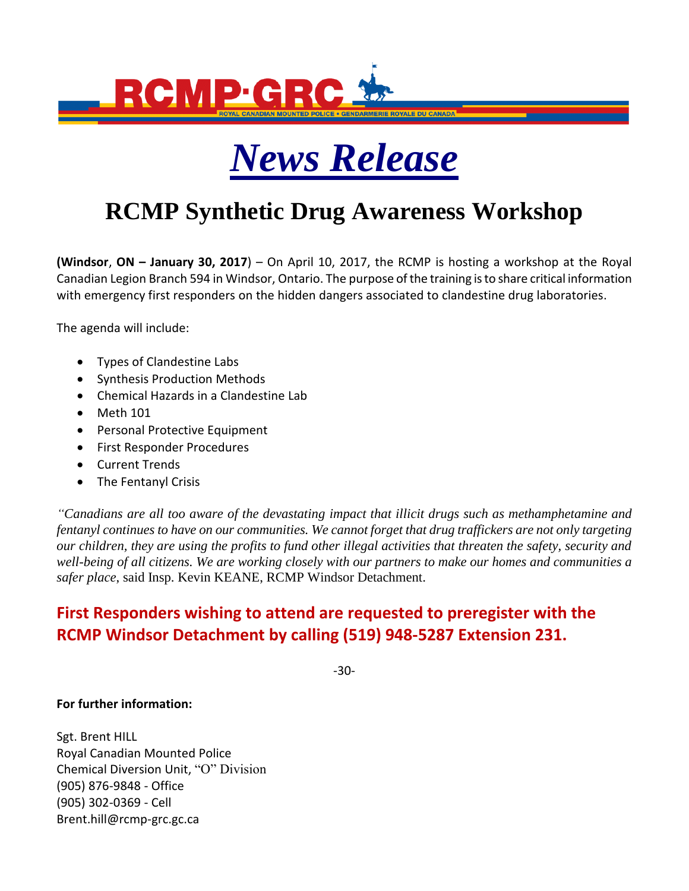



## **RCMP Synthetic Drug Awareness Workshop**

**(Windsor**, **ON – January 30, 2017**) – On April 10, 2017, the RCMP is hosting a workshop at the Royal Canadian Legion Branch 594 in Windsor, Ontario. The purpose of the training is to share critical information with emergency first responders on the hidden dangers associated to clandestine drug laboratories.

The agenda will include:

- Types of Clandestine Labs
- Synthesis Production Methods
- Chemical Hazards in a Clandestine Lab
- Meth 101
- Personal Protective Equipment
- First Responder Procedures
- Current Trends
- The Fentanyl Crisis

*"Canadians are all too aware of the devastating impact that illicit drugs such as methamphetamine and fentanyl continues to have on our communities. We cannot forget that drug traffickers are not only targeting our children, they are using the profits to fund other illegal activities that threaten the safety, security and well-being of all citizens. We are working closely with our partners to make our homes and communities a safer place*, said Insp. Kevin KEANE, RCMP Windsor Detachment.

## **First Responders wishing to attend are requested to preregister with the RCMP Windsor Detachment by calling (519) 948-5287 Extension 231.**

-30-

**For further information:**

Sgt. Brent HILL Royal Canadian Mounted Police Chemical Diversion Unit, "O" Division (905) 876-9848 - Office (905) 302-0369 - Cell Brent.hill@rcmp-grc.gc.ca